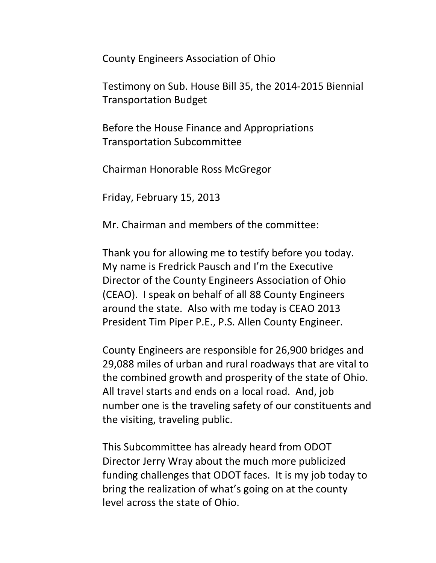County Engineers Association of Ohio

Testimony on Sub. House Bill 35, the 2014-2015 Biennial Transportation Budget

Before the House Finance and Appropriations Transportation Subcommittee

Chairman Honorable Ross McGregor

Friday, February 15, 2013

Mr. Chairman and members of the committee:

Thank you for allowing me to testify before you today. My name is Fredrick Pausch and I'm the Executive Director of the County Engineers Association of Ohio (CEAO). I speak on behalf of all 88 County Engineers around the state. Also with me today is CEAO 2013 President Tim Piper P.E., P.S. Allen County Engineer.

County Engineers are responsible for 26,900 bridges and 29,088 miles of urban and rural roadways that are vital to the combined growth and prosperity of the state of Ohio. All travel starts and ends on a local road. And, job number one is the traveling safety of our constituents and the visiting, traveling public.

This Subcommittee has already heard from ODOT Director Jerry Wray about the much more publicized funding challenges that ODOT faces. It is my job today to bring the realization of what's going on at the county level across the state of Ohio.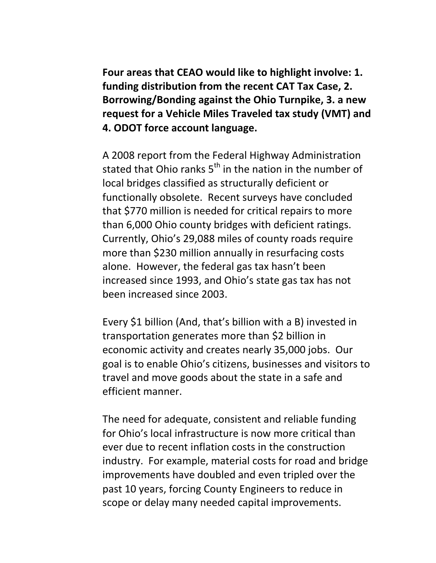**Four areas that CEAO would like to highlight involve: 1. funding distribution from the recent CAT Tax Case, 2. Borrowing/Bonding against the Ohio Turnpike, 3. a new request for a Vehicle Miles Traveled tax study (VMT) and 4. ODOT force account language.**

A 2008 report from the Federal Highway Administration stated that Ohio ranks  $5<sup>th</sup>$  in the nation in the number of local bridges classified as structurally deficient or functionally obsolete. Recent surveys have concluded that \$770 million is needed for critical repairs to more than 6,000 Ohio county bridges with deficient ratings. Currently, Ohio's 29,088 miles of county roads require more than \$230 million annually in resurfacing costs alone. However, the federal gas tax hasn't been increased since 1993, and Ohio's state gas tax has not been increased since 2003.

Every \$1 billion (And, that's billion with a B) invested in transportation generates more than \$2 billion in economic activity and creates nearly 35,000 jobs. Our goal is to enable Ohio's citizens, businesses and visitors to travel and move goods about the state in a safe and efficient manner.

The need for adequate, consistent and reliable funding for Ohio's local infrastructure is now more critical than ever due to recent inflation costs in the construction industry. For example, material costs for road and bridge improvements have doubled and even tripled over the past 10 years, forcing County Engineers to reduce in scope or delay many needed capital improvements.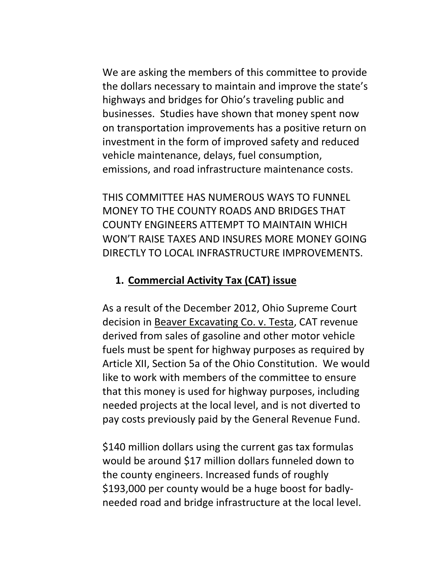We are asking the members of this committee to provide the dollars necessary to maintain and improve the state's highways and bridges for Ohio's traveling public and businesses. Studies have shown that money spent now on transportation improvements has a positive return on investment in the form of improved safety and reduced vehicle maintenance, delays, fuel consumption, emissions, and road infrastructure maintenance costs.

THIS COMMITTEE HAS NUMEROUS WAYS TO FUNNEL MONEY TO THE COUNTY ROADS AND BRIDGES THAT COUNTY ENGINEERS ATTEMPT TO MAINTAIN WHICH WON'T RAISE TAXES AND INSURES MORE MONEY GOING DIRECTLY TO LOCAL INFRASTRUCTURE IMPROVEMENTS.

## **1. Commercial Activity Tax (CAT) issue**

As a result of the December 2012, Ohio Supreme Court decision in Beaver Excavating Co. v. Testa, CAT revenue derived from sales of gasoline and other motor vehicle fuels must be spent for highway purposes as required by Article XII, Section 5a of the Ohio Constitution. We would like to work with members of the committee to ensure that this money is used for highway purposes, including needed projects at the local level, and is not diverted to pay costs previously paid by the General Revenue Fund.

\$140 million dollars using the current gas tax formulas would be around \$17 million dollars funneled down to the county engineers. Increased funds of roughly \$193,000 per county would be a huge boost for badlyneeded road and bridge infrastructure at the local level.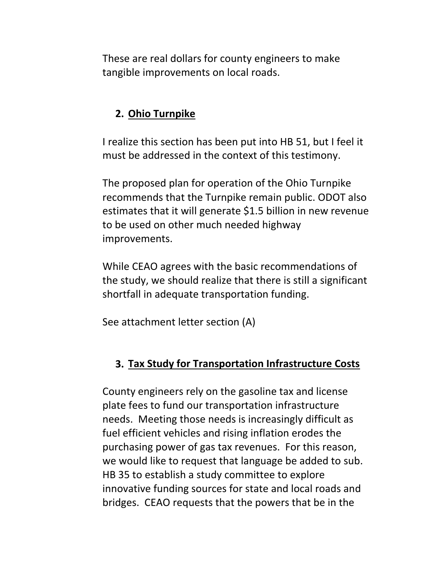These are real dollars for county engineers to make tangible improvements on local roads.

## **2. Ohio Turnpike**

I realize this section has been put into HB 51, but I feel it must be addressed in the context of this testimony.

The proposed plan for operation of the Ohio Turnpike recommends that the Turnpike remain public. ODOT also estimates that it will generate \$1.5 billion in new revenue to be used on other much needed highway improvements.

While CEAO agrees with the basic recommendations of the study, we should realize that there is still a significant shortfall in adequate transportation funding.

See attachment letter section (A)

## **3. Tax Study for Transportation Infrastructure Costs**

County engineers rely on the gasoline tax and license plate fees to fund our transportation infrastructure needs. Meeting those needs is increasingly difficult as fuel efficient vehicles and rising inflation erodes the purchasing power of gas tax revenues. For this reason, we would like to request that language be added to sub. HB 35 to establish a study committee to explore innovative funding sources for state and local roads and bridges. CEAO requests that the powers that be in the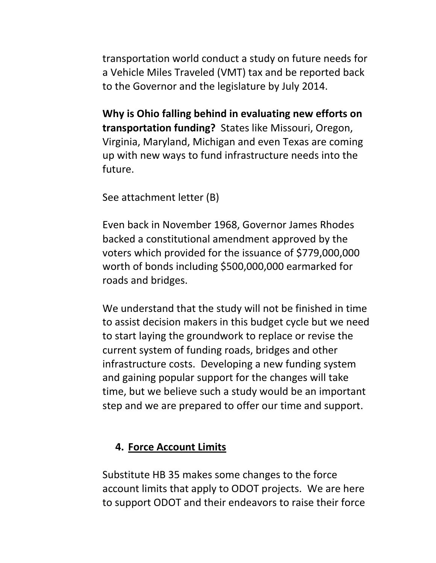transportation world conduct a study on future needs for a Vehicle Miles Traveled (VMT) tax and be reported back to the Governor and the legislature by July 2014.

**Why is Ohio falling behind in evaluating new efforts on transportation funding?** States like Missouri, Oregon, Virginia, Maryland, Michigan and even Texas are coming up with new ways to fund infrastructure needs into the future.

See attachment letter (B)

Even back in November 1968, Governor James Rhodes backed a constitutional amendment approved by the voters which provided for the issuance of \$779,000,000 worth of bonds including \$500,000,000 earmarked for roads and bridges.

We understand that the study will not be finished in time to assist decision makers in this budget cycle but we need to start laying the groundwork to replace or revise the current system of funding roads, bridges and other infrastructure costs. Developing a new funding system and gaining popular support for the changes will take time, but we believe such a study would be an important step and we are prepared to offer our time and support.

## **4. Force Account Limits**

Substitute HB 35 makes some changes to the force account limits that apply to ODOT projects. We are here to support ODOT and their endeavors to raise their force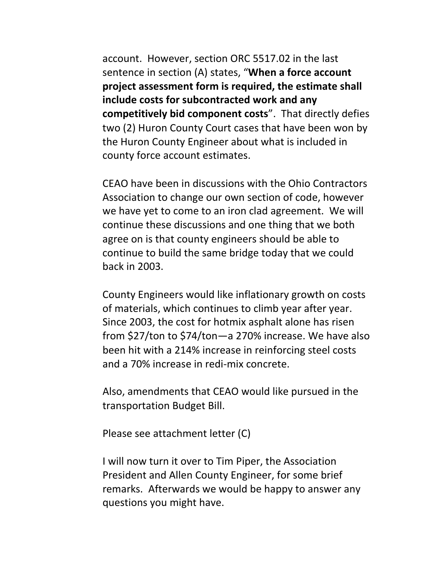account. However, section ORC 5517.02 in the last sentence in section (A) states, "**When a force account project assessment form is required, the estimate shall include costs for subcontracted work and any competitively bid component costs**". That directly defies two (2) Huron County Court cases that have been won by the Huron County Engineer about what is included in county force account estimates.

CEAO have been in discussions with the Ohio Contractors Association to change our own section of code, however we have yet to come to an iron clad agreement. We will continue these discussions and one thing that we both agree on is that county engineers should be able to continue to build the same bridge today that we could back in 2003.

County Engineers would like inflationary growth on costs of materials, which continues to climb year after year. Since 2003, the cost for hotmix asphalt alone has risen from \$27/ton to \$74/ton—a 270% increase. We have also been hit with a 214% increase in reinforcing steel costs and a 70% increase in redi-mix concrete.

Also, amendments that CEAO would like pursued in the transportation Budget Bill.

Please see attachment letter (C)

I will now turn it over to Tim Piper, the Association President and Allen County Engineer, for some brief remarks. Afterwards we would be happy to answer any questions you might have.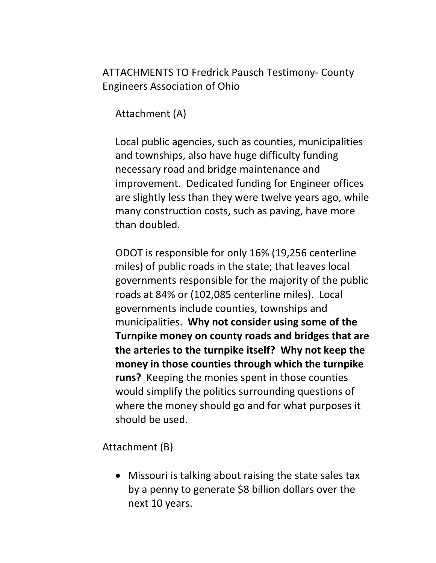ATTACHMENTS TO Fredrick Pausch Testimony- County Engineers Association of Ohio

Attachment (A)

Local public agencies, such as counties, municipalities and townships, also have huge difficulty funding necessary road and bridge maintenance and improvement. Dedicated funding for Engineer offices are slightly less than they were twelve years ago, while many construction costs, such as paving, have more than doubled.

ODOT is responsible for only 16% (19,256 centerline miles) of public roads in the state; that leaves local governments responsible for the majority of the public roads at 84% or (102,085 centerline miles). Local governments include counties, townships and municipalities. **Why not consider using some of the Turnpike money on county roads and bridges that are the arteries to the turnpike itself? Why not keep the money in those counties through which the turnpike runs?** Keeping the monies spent in those counties would simplify the politics surrounding questions of where the money should go and for what purposes it should be used.

Attachment (B)

• Missouri is talking about raising the state sales tax by a penny to generate \$8 billion dollars over the next 10 years.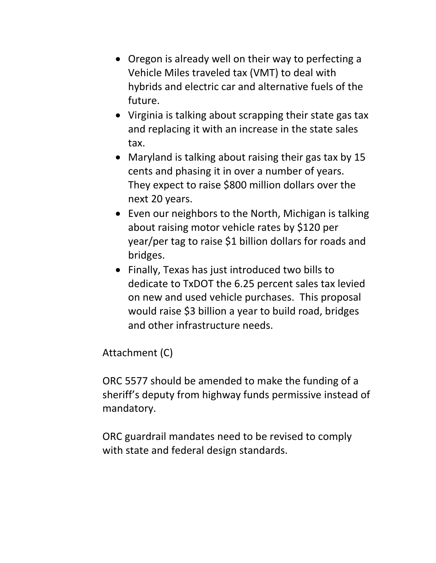- Oregon is already well on their way to perfecting a Vehicle Miles traveled tax (VMT) to deal with hybrids and electric car and alternative fuels of the future.
- Virginia is talking about scrapping their state gas tax and replacing it with an increase in the state sales tax.
- Maryland is talking about raising their gas tax by 15 cents and phasing it in over a number of years. They expect to raise \$800 million dollars over the next 20 years.
- Even our neighbors to the North, Michigan is talking about raising motor vehicle rates by \$120 per year/per tag to raise \$1 billion dollars for roads and bridges.
- Finally, Texas has just introduced two bills to dedicate to TxDOT the 6.25 percent sales tax levied on new and used vehicle purchases. This proposal would raise \$3 billion a year to build road, bridges and other infrastructure needs.

Attachment (C)

ORC 5577 should be amended to make the funding of a sheriff's deputy from highway funds permissive instead of mandatory.

ORC guardrail mandates need to be revised to comply with state and federal design standards.